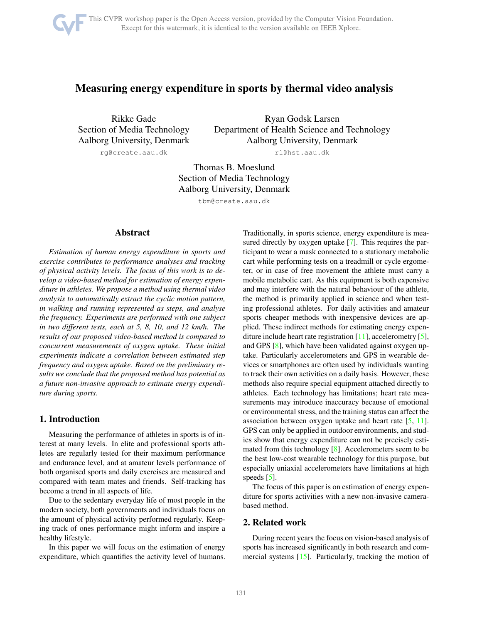<span id="page-0-1"></span>

# Measuring energy expenditure in sports by thermal video analysis

Rikke Gade Section of Media Technology Aalborg University, Denmark rg@create.aau.dk

Ryan Godsk Larsen Department of Health Science and Technology Aalborg University, Denmark rl@hst.aau.dk

Thomas B. Moeslund Section of Media Technology Aalborg University, Denmark

tbm@create.aau.dk

## Abstract

*Estimation of human energy expenditure in sports and exercise contributes to performance analyses and tracking of physical activity levels. The focus of this work is to develop a video-based method for estimation of energy expenditure in athletes. We propose a method using thermal video analysis to automatically extract the cyclic motion pattern, in walking and running represented as steps, and analyse the frequency. Experiments are performed with one subject in two different tests, each at 5, 8, 10, and 12 km/h. The results of our proposed video-based method is compared to concurrent measurements of oxygen uptake. These initial experiments indicate a correlation between estimated step frequency and oxygen uptake. Based on the preliminary results we conclude that the proposed method has potential as a future non-invasive approach to estimate energy expenditure during sports.*

## <span id="page-0-0"></span>1. Introduction

Measuring the performance of athletes in sports is of interest at many levels. In elite and professional sports athletes are regularly tested for their maximum performance and endurance level, and at amateur levels performance of both organised sports and daily exercises are measured and compared with team mates and friends. Self-tracking has become a trend in all aspects of life.

Due to the sedentary everyday life of most people in the modern society, both governments and individuals focus on the amount of physical activity performed regularly. Keeping track of ones performance might inform and inspire a healthy lifestyle.

In this paper we will focus on the estimation of energy expenditure, which quantifies the activity level of humans. Traditionally, in sports science, energy expenditure is measured directly by oxygen uptake [\[7\]](#page-7-0). This requires the participant to wear a mask connected to a stationary metabolic cart while performing tests on a treadmill or cycle ergometer, or in case of free movement the athlete must carry a mobile metabolic cart. As this equipment is both expensive and may interfere with the natural behaviour of the athlete, the method is primarily applied in science and when testing professional athletes. For daily activities and amateur sports cheaper methods with inexpensive devices are applied. These indirect methods for estimating energy expenditure include heart rate registration  $[11]$ , accelerometry  $[5]$ , and GPS [\[8\]](#page-7-3), which have been validated against oxygen uptake. Particularly accelerometers and GPS in wearable devices or smartphones are often used by individuals wanting to track their own activities on a daily basis. However, these methods also require special equipment attached directly to athletes. Each technology has limitations; heart rate measurements may introduce inaccuracy because of emotional or environmental stress, and the training status can affect the association between oxygen uptake and heart rate [\[5,](#page-7-2) [11\]](#page-7-1). GPS can only be applied in outdoor environments, and studies show that energy expenditure can not be precisely estimated from this technology [\[8\]](#page-7-3). Accelerometers seem to be the best low-cost wearable technology for this purpose, but especially uniaxial accelerometers have limitations at high speeds  $[5]$ .

The focus of this paper is on estimation of energy expenditure for sports activities with a new non-invasive camerabased method.

## 2. Related work

During recent years the focus on vision-based analysis of sports has increased significantly in both research and commercial systems [\[15\]](#page-7-4). Particularly, tracking the motion of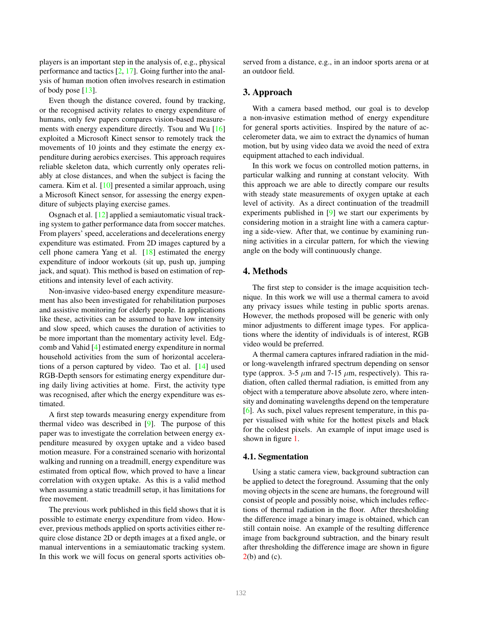<span id="page-1-0"></span>players is an important step in the analysis of, e.g., physical performance and tactics [\[2,](#page-7-5) [17\]](#page-7-6). Going further into the analysis of human motion often involves research in estimation of body pose [\[13\]](#page-7-7).

Even though the distance covered, found by tracking, or the recognised activity relates to energy expenditure of humans, only few papers compares vision-based measurements with energy expenditure directly. Tsou and Wu [\[16\]](#page-7-8) exploited a Microsoft Kinect sensor to remotely track the movements of 10 joints and they estimate the energy expenditure during aerobics exercises. This approach requires reliable skeleton data, which currently only operates reliably at close distances, and when the subject is facing the camera. Kim et al. [\[10\]](#page-7-9) presented a similar approach, using a Microsoft Kinect sensor, for assessing the energy expenditure of subjects playing exercise games.

Osgnach et al. [\[12\]](#page-7-10) applied a semiautomatic visual tracking system to gather performance data from soccer matches. From players' speed, accelerations and decelerations energy expenditure was estimated. From 2D images captured by a cell phone camera Yang et al. [\[18\]](#page-7-11) estimated the energy expenditure of indoor workouts (sit up, push up, jumping jack, and squat). This method is based on estimation of repetitions and intensity level of each activity.

Non-invasive video-based energy expenditure measurement has also been investigated for rehabilitation purposes and assistive monitoring for elderly people. In applications like these, activities can be assumed to have low intensity and slow speed, which causes the duration of activities to be more important than the momentary activity level. Edgcomb and Vahid [\[4\]](#page-7-12) estimated energy expenditure in normal household activities from the sum of horizontal accelerations of a person captured by video. Tao et al. [\[14\]](#page-7-13) used RGB-Depth sensors for estimating energy expenditure during daily living activities at home. First, the activity type was recognised, after which the energy expenditure was estimated.

A first step towards measuring energy expenditure from thermal video was described in [\[9\]](#page-7-14). The purpose of this paper was to investigate the correlation between energy expenditure measured by oxygen uptake and a video based motion measure. For a constrained scenario with horizontal walking and running on a treadmill, energy expenditure was estimated from optical flow, which proved to have a linear correlation with oxygen uptake. As this is a valid method when assuming a static treadmill setup, it has limitations for free movement.

The previous work published in this field shows that it is possible to estimate energy expenditure from video. However, previous methods applied on sports activities either require close distance 2D or depth images at a fixed angle, or manual interventions in a semiautomatic tracking system. In this work we will focus on general sports activities observed from a distance, e.g., in an indoor sports arena or at an outdoor field.

## 3. Approach

With a camera based method, our goal is to develop a non-invasive estimation method of energy expenditure for general sports activities. Inspired by the nature of accelerometer data, we aim to extract the dynamics of human motion, but by using video data we avoid the need of extra equipment attached to each individual.

In this work we focus on controlled motion patterns, in particular walking and running at constant velocity. With this approach we are able to directly compare our results with steady state measurements of oxygen uptake at each level of activity. As a direct continuation of the treadmill experiments published in [\[9\]](#page-7-14) we start our experiments by considering motion in a straight line with a camera capturing a side-view. After that, we continue by examining running activities in a circular pattern, for which the viewing angle on the body will continuously change.

#### 4. Methods

The first step to consider is the image acquisition technique. In this work we will use a thermal camera to avoid any privacy issues while testing in public sports arenas. However, the methods proposed will be generic with only minor adjustments to different image types. For applications where the identity of individuals is of interest, RGB video would be preferred.

A thermal camera captures infrared radiation in the midor long-wavelength infrared spectrum depending on sensor type (approx. 3-5  $\mu$ m and 7-15  $\mu$ m, respectively). This radiation, often called thermal radiation, is emitted from any object with a temperature above absolute zero, where intensity and dominating wavelengths depend on the temperature [\[6\]](#page-7-15). As such, pixel values represent temperature, in this paper visualised with white for the hottest pixels and black for the coldest pixels. An example of input image used is shown in figure [1.](#page-2-0)

#### 4.1. Segmentation

Using a static camera view, background subtraction can be applied to detect the foreground. Assuming that the only moving objects in the scene are humans, the foreground will consist of people and possibly noise, which includes reflections of thermal radiation in the floor. After thresholding the difference image a binary image is obtained, which can still contain noise. An example of the resulting difference image from background subtraction, and the binary result after thresholding the difference image are shown in figure  $2(b)$  $2(b)$  and (c).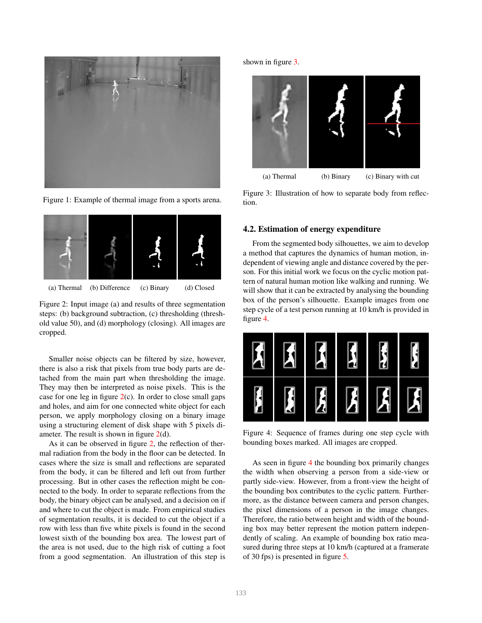<span id="page-2-0"></span>

Figure 1: Example of thermal image from a sports arena.

<span id="page-2-1"></span>

Figure 2: Input image (a) and results of three segmentation steps: (b) background subtraction, (c) thresholding (threshold value 50), and (d) morphology (closing). All images are cropped.

Smaller noise objects can be filtered by size, however, there is also a risk that pixels from true body parts are detached from the main part when thresholding the image. They may then be interpreted as noise pixels. This is the case for one leg in figure  $2(c)$  $2(c)$ . In order to close small gaps and holes, and aim for one connected white object for each person, we apply morphology closing on a binary image using a structuring element of disk shape with 5 pixels diameter. The result is shown in figure  $2(d)$  $2(d)$ .

As it can be observed in figure [2,](#page-2-1) the reflection of thermal radiation from the body in the floor can be detected. In cases where the size is small and reflections are separated from the body, it can be filtered and left out from further processing. But in other cases the reflection might be connected to the body. In order to separate reflections from the body, the binary object can be analysed, and a decision on if and where to cut the object is made. From empirical studies of segmentation results, it is decided to cut the object if a row with less than five white pixels is found in the second lowest sixth of the bounding box area. The lowest part of the area is not used, due to the high risk of cutting a foot from a good segmentation. An illustration of this step is shown in figure [3.](#page-2-2)

<span id="page-2-2"></span>

Figure 3: Illustration of how to separate body from reflection.

#### <span id="page-2-4"></span>4.2. Estimation of energy expenditure

From the segmented body silhouettes, we aim to develop a method that captures the dynamics of human motion, independent of viewing angle and distance covered by the person. For this initial work we focus on the cyclic motion pattern of natural human motion like walking and running. We will show that it can be extracted by analysing the bounding box of the person's silhouette. Example images from one step cycle of a test person running at 10 km/h is provided in figure [4.](#page-2-3)

<span id="page-2-3"></span>

Figure 4: Sequence of frames during one step cycle with bounding boxes marked. All images are cropped.

As seen in figure [4](#page-2-3) the bounding box primarily changes the width when observing a person from a side-view or partly side-view. However, from a front-view the height of the bounding box contributes to the cyclic pattern. Furthermore, as the distance between camera and person changes, the pixel dimensions of a person in the image changes. Therefore, the ratio between height and width of the bounding box may better represent the motion pattern independently of scaling. An example of bounding box ratio measured during three steps at 10 km/h (captured at a framerate of 30 fps) is presented in figure [5.](#page-3-0)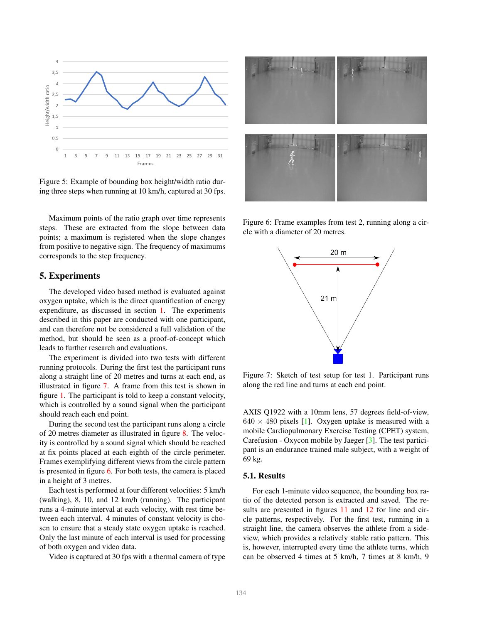<span id="page-3-3"></span><span id="page-3-0"></span>

Figure 5: Example of bounding box height/width ratio during three steps when running at 10 km/h, captured at 30 fps.

Maximum points of the ratio graph over time represents steps. These are extracted from the slope between data points; a maximum is registered when the slope changes from positive to negative sign. The frequency of maximums corresponds to the step frequency.

#### 5. Experiments

The developed video based method is evaluated against oxygen uptake, which is the direct quantification of energy expenditure, as discussed in section [1.](#page-0-0) The experiments described in this paper are conducted with one participant, and can therefore not be considered a full validation of the method, but should be seen as a proof-of-concept which leads to further research and evaluations.

The experiment is divided into two tests with different running protocols. During the first test the participant runs along a straight line of 20 metres and turns at each end, as illustrated in figure [7.](#page-3-1) A frame from this test is shown in figure [1.](#page-2-0) The participant is told to keep a constant velocity, which is controlled by a sound signal when the participant should reach each end point.

During the second test the participant runs along a circle of 20 metres diameter as illustrated in figure [8.](#page-4-0) The velocity is controlled by a sound signal which should be reached at fix points placed at each eighth of the circle perimeter. Frames exemplifying different views from the circle pattern is presented in figure [6.](#page-3-2) For both tests, the camera is placed in a height of 3 metres.

Each test is performed at four different velocities: 5 km/h (walking), 8, 10, and 12 km/h (running). The participant runs a 4-minute interval at each velocity, with rest time between each interval. 4 minutes of constant velocity is chosen to ensure that a steady state oxygen uptake is reached. Only the last minute of each interval is used for processing of both oxygen and video data.

Video is captured at 30 fps with a thermal camera of type

<span id="page-3-2"></span>

Figure 6: Frame examples from test 2, running along a circle with a diameter of 20 metres.

<span id="page-3-1"></span>

Figure 7: Sketch of test setup for test 1. Participant runs along the red line and turns at each end point.

AXIS Q1922 with a 10mm lens, 57 degrees field-of-view,  $640 \times 480$  pixels [\[1\]](#page-7-16). Oxygen uptake is measured with a mobile Cardiopulmonary Exercise Testing (CPET) system, Carefusion - Oxycon mobile by Jaeger [\[3\]](#page-7-17). The test participant is an endurance trained male subject, with a weight of 69 kg.

#### 5.1. Results

For each 1-minute video sequence, the bounding box ratio of the detected person is extracted and saved. The re-sults are presented in figures [11](#page-5-0) and [12](#page-6-0) for line and circle patterns, respectively. For the first test, running in a straight line, the camera observes the athlete from a sideview, which provides a relatively stable ratio pattern. This is, however, interrupted every time the athlete turns, which can be observed 4 times at 5 km/h, 7 times at 8 km/h, 9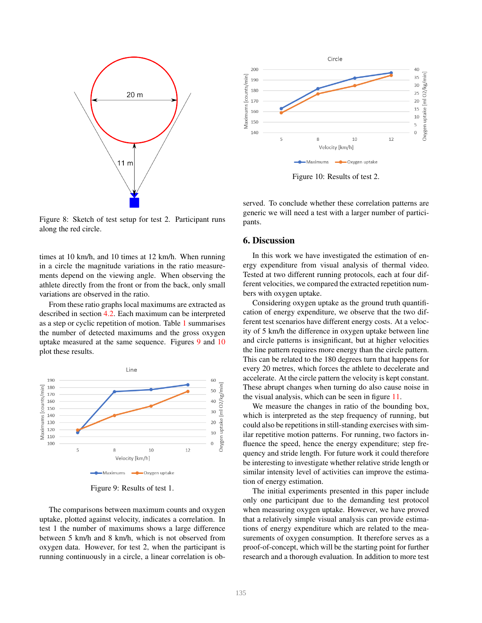<span id="page-4-0"></span>

Figure 8: Sketch of test setup for test 2. Participant runs along the red circle.

times at 10 km/h, and 10 times at 12 km/h. When running in a circle the magnitude variations in the ratio measurements depend on the viewing angle. When observing the athlete directly from the front or from the back, only small variations are observed in the ratio.

From these ratio graphs local maximums are extracted as described in section [4.2.](#page-2-4) Each maximum can be interpreted as a step or cyclic repetition of motion. Table [1](#page-5-1) summarises the number of detected maximums and the gross oxygen uptake measured at the same sequence. Figures [9](#page-4-1) and [10](#page-4-2) plot these results.

<span id="page-4-1"></span>

Figure 9: Results of test 1.

The comparisons between maximum counts and oxygen uptake, plotted against velocity, indicates a correlation. In test 1 the number of maximums shows a large difference between 5 km/h and 8 km/h, which is not observed from oxygen data. However, for test 2, when the participant is running continuously in a circle, a linear correlation is ob-

<span id="page-4-2"></span>

Figure 10: Results of test 2.

served. To conclude whether these correlation patterns are generic we will need a test with a larger number of participants.

#### 6. Discussion

In this work we have investigated the estimation of energy expenditure from visual analysis of thermal video. Tested at two different running protocols, each at four different velocities, we compared the extracted repetition numbers with oxygen uptake.

Considering oxygen uptake as the ground truth quantification of energy expenditure, we observe that the two different test scenarios have different energy costs. At a velocity of 5 km/h the difference in oxygen uptake between line and circle patterns is insignificant, but at higher velocities the line pattern requires more energy than the circle pattern. This can be related to the 180 degrees turn that happens for every 20 metres, which forces the athlete to decelerate and accelerate. At the circle pattern the velocity is kept constant. These abrupt changes when turning do also cause noise in the visual analysis, which can be seen in figure [11.](#page-5-0)

We measure the changes in ratio of the bounding box, which is interpreted as the step frequency of running, but could also be repetitions in still-standing exercises with similar repetitive motion patterns. For running, two factors influence the speed, hence the energy expenditure; step frequency and stride length. For future work it could therefore be interesting to investigate whether relative stride length or similar intensity level of activities can improve the estimation of energy estimation.

The initial experiments presented in this paper include only one participant due to the demanding test protocol when measuring oxygen uptake. However, we have proved that a relatively simple visual analysis can provide estimations of energy expenditure which are related to the measurements of oxygen consumption. It therefore serves as a proof-of-concept, which will be the starting point for further research and a thorough evaluation. In addition to more test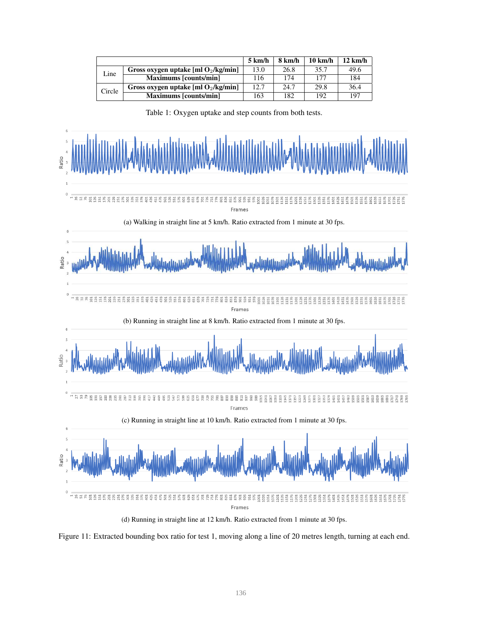<span id="page-5-1"></span>

|        |                                        | 5 km/h | 8 km/h | $10 \text{ km/h}$ | $12 \text{ km/h}$ |
|--------|----------------------------------------|--------|--------|-------------------|-------------------|
| Line   | Gross oxygen uptake [ml $O_2$ /kg/min] | 13.0   | 26.8   | 35.7              | 49.6              |
|        | <b>Maximums [counts/min]</b>           | 116    | 174    | 177               | 184               |
| Circle | Gross oxygen uptake [ml O2/kg/min]     | 12.7   | 24.7   | 29.8              | 36.4              |
|        | <b>Maximums [counts/min]</b>           | 163    | 182    | 192               | 197               |

Table 1: Oxygen uptake and step counts from both tests.

<span id="page-5-0"></span>

(d) Running in straight line at 12 km/h. Ratio extracted from 1 minute at 30 fps.

Figure 11: Extracted bounding box ratio for test 1, moving along a line of 20 metres length, turning at each end.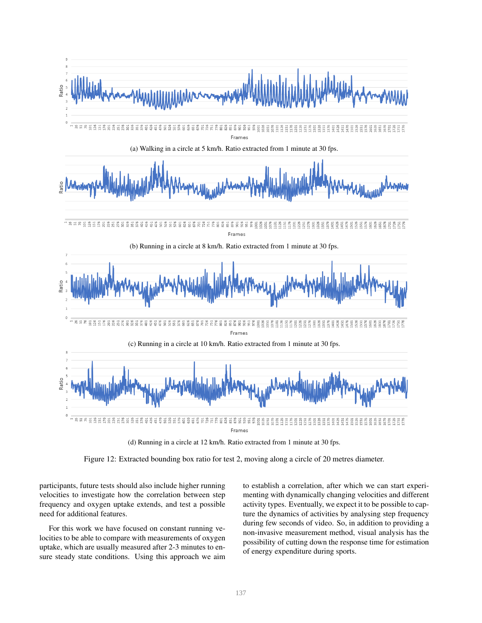<span id="page-6-0"></span>

(d) Running in a circle at 12 km/h. Ratio extracted from 1 minute at 30 fps.

Figure 12: Extracted bounding box ratio for test 2, moving along a circle of 20 metres diameter.

participants, future tests should also include higher running velocities to investigate how the correlation between step frequency and oxygen uptake extends, and test a possible need for additional features.

For this work we have focused on constant running velocities to be able to compare with measurements of oxygen uptake, which are usually measured after 2-3 minutes to ensure steady state conditions. Using this approach we aim to establish a correlation, after which we can start experimenting with dynamically changing velocities and different activity types. Eventually, we expect it to be possible to capture the dynamics of activities by analysing step frequency during few seconds of video. So, in addition to providing a non-invasive measurement method, visual analysis has the possibility of cutting down the response time for estimation of energy expenditure during sports.